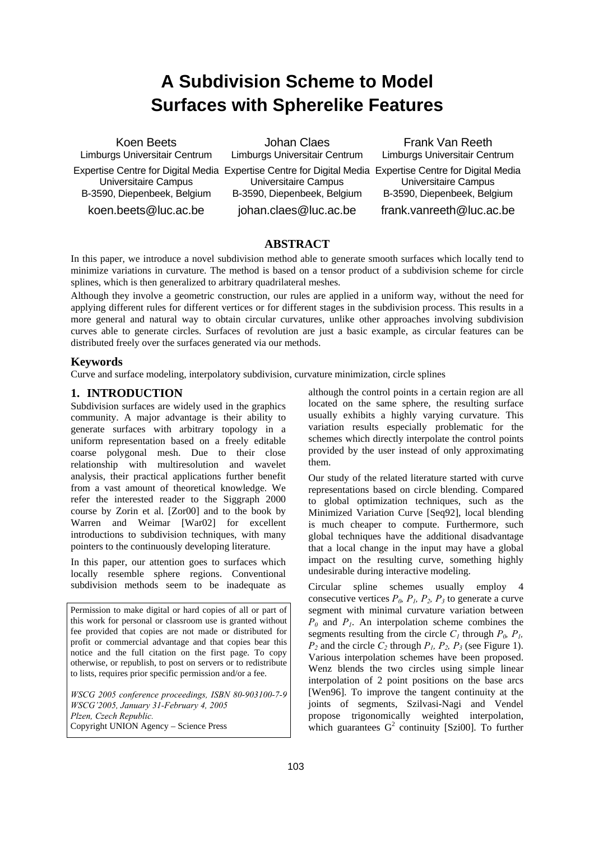# **A Subdivision Scheme to Model Surfaces with Spherelike Features**

Koen Beets Limburgs Universitair Centrum Expertise Centre for Digital Media Expertise Centre for Digital Media Expertise Centre for Digital Media Universitaire Campus B-3590, Diepenbeek, Belgium koen.beets@luc.ac.be

Johan Claes Limburgs Universitair Centrum Universitaire Campus B-3590, Diepenbeek, Belgium johan.claes@luc.ac.be

Frank Van Reeth Limburgs Universitair Centrum Universitaire Campus B-3590, Diepenbeek, Belgium frank.vanreeth@luc.ac.be

# **ABSTRACT**

In this paper, we introduce a novel subdivision method able to generate smooth surfaces which locally tend to minimize variations in curvature. The method is based on a tensor product of a subdivision scheme for circle splines, which is then generalized to arbitrary quadrilateral meshes.

Although they involve a geometric construction, our rules are applied in a uniform way, without the need for applying different rules for different vertices or for different stages in the subdivision process. This results in a more general and natural way to obtain circular curvatures, unlike other approaches involving subdivision curves able to generate circles. Surfaces of revolution are just a basic example, as circular features can be distributed freely over the surfaces generated via our methods.

# **Keywords**

Curve and surface modeling, interpolatory subdivision, curvature minimization, circle splines

# **1. INTRODUCTION**

Subdivision surfaces are widely used in the graphics community. A major advantage is their ability to generate surfaces with arbitrary topology in a uniform representation based on a freely editable coarse polygonal mesh. Due to their close relationship with multiresolution and wavelet analysis, their practical applications further benefit from a vast amount of theoretical knowledge. We refer the interested reader to the Siggraph 2000 course by Zorin et al. [Zor00] and to the book by Warren and Weimar [War02] for excellent introductions to subdivision techniques, with many pointers to the continuously developing literature.

In this paper, our attention goes to surfaces which locally resemble sphere regions. Conventional subdivision methods seem to be inadequate as

Permission to make digital or hard copies of all or part of this work for personal or classroom use is granted without fee provided that copies are not made or distributed for profit or commercial advantage and that copies bear this notice and the full citation on the first page. To copy otherwise, or republish, to post on servers or to redistribute to lists, requires prior specific permission and/or a fee.

*WSCG 2005 conference proceedings, ISBN 80-903100-7-9 WSCG'2005, January 31-February 4, 2005 Plzen, Czech Republic.*  Copyright UNION Agency – Science Press

although the control points in a certain region are all located on the same sphere, the resulting surface usually exhibits a highly varying curvature. This variation results especially problematic for the schemes which directly interpolate the control points provided by the user instead of only approximating them.

Our study of the related literature started with curve representations based on circle blending. Compared to global optimization techniques, such as the Minimized Variation Curve [Seq92], local blending is much cheaper to compute. Furthermore, such global techniques have the additional disadvantage that a local change in the input may have a global impact on the resulting curve, something highly undesirable during interactive modeling.

Circular spline schemes usually employ 4 consecutive vertices  $P_0$ ,  $P_1$ ,  $P_2$ ,  $P_3$  to generate a curve segment with minimal curvature variation between  $P_0$  and  $P_1$ . An interpolation scheme combines the segments resulting from the circle  $C_l$  through  $P_0$ ,  $P_l$ ,  $P_2$  and the circle  $C_2$  through  $P_1$ ,  $P_2$ ,  $P_3$  (see Figure 1). Various interpolation schemes have been proposed. Wenz blends the two circles using simple linear interpolation of 2 point positions on the base arcs [Wen96]. To improve the tangent continuity at the joints of segments, Szilvasi-Nagi and Vendel propose trigonomically weighted interpolation, which guarantees  $G^2$  continuity [Szi00]. To further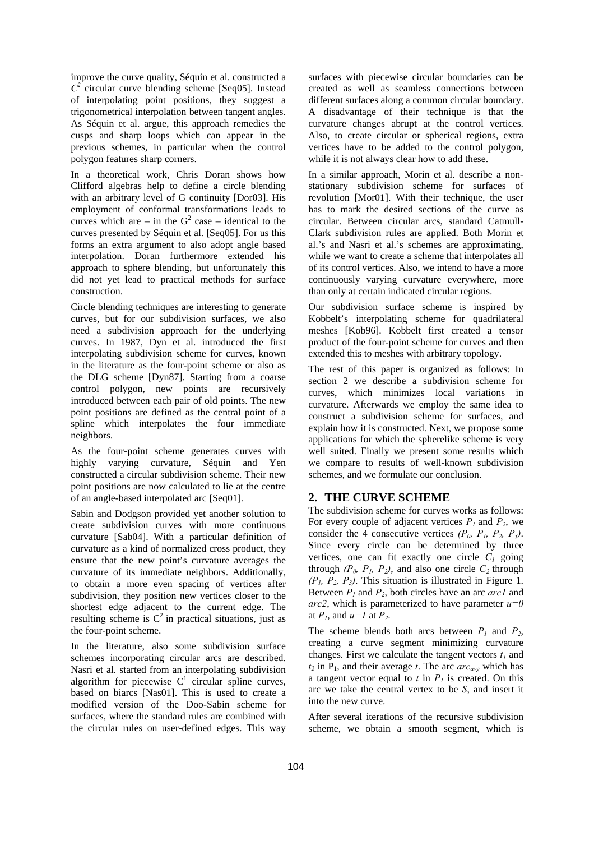improve the curve quality, Séquin et al. constructed a  $C^2$  circular curve blending scheme [Seq05]. Instead of interpolating point positions, they suggest a trigonometrical interpolation between tangent angles. As Séquin et al. argue, this approach remedies the cusps and sharp loops which can appear in the previous schemes, in particular when the control polygon features sharp corners.

In a theoretical work, Chris Doran shows how Clifford algebras help to define a circle blending with an arbitrary level of G continuity [Dor03]. His employment of conformal transformations leads to curves which are – in the  $G^2$  case – identical to the curves presented by Séquin et al. [Seq05]. For us this forms an extra argument to also adopt angle based interpolation. Doran furthermore extended his approach to sphere blending, but unfortunately this did not yet lead to practical methods for surface construction.

Circle blending techniques are interesting to generate curves, but for our subdivision surfaces, we also need a subdivision approach for the underlying curves. In 1987, Dyn et al. introduced the first interpolating subdivision scheme for curves, known in the literature as the four-point scheme or also as the DLG scheme [Dyn87]. Starting from a coarse control polygon, new points are recursively introduced between each pair of old points. The new point positions are defined as the central point of a spline which interpolates the four immediate neighbors.

As the four-point scheme generates curves with highly varying curvature, Séquin and Yen constructed a circular subdivision scheme. Their new point positions are now calculated to lie at the centre of an angle-based interpolated arc [Seq01].

Sabin and Dodgson provided yet another solution to create subdivision curves with more continuous curvature [Sab04]. With a particular definition of curvature as a kind of normalized cross product, they ensure that the new point's curvature averages the curvature of its immediate neighbors. Additionally, to obtain a more even spacing of vertices after subdivision, they position new vertices closer to the shortest edge adjacent to the current edge. The resulting scheme is  $C^2$  in practical situations, just as the four-point scheme.

In the literature, also some subdivision surface schemes incorporating circular arcs are described. Nasri et al. started from an interpolating subdivision algorithm for piecewise  $C<sup>1</sup>$  circular spline curves, based on biarcs [Nas01]. This is used to create a modified version of the Doo-Sabin scheme for surfaces, where the standard rules are combined with the circular rules on user-defined edges. This way

surfaces with piecewise circular boundaries can be created as well as seamless connections between different surfaces along a common circular boundary. A disadvantage of their technique is that the curvature changes abrupt at the control vertices. Also, to create circular or spherical regions, extra vertices have to be added to the control polygon, while it is not always clear how to add these.

In a similar approach, Morin et al. describe a nonstationary subdivision scheme for surfaces of revolution [Mor01]. With their technique, the user has to mark the desired sections of the curve as circular. Between circular arcs, standard Catmull-Clark subdivision rules are applied. Both Morin et al.'s and Nasri et al.'s schemes are approximating, while we want to create a scheme that interpolates all of its control vertices. Also, we intend to have a more continuously varying curvature everywhere, more than only at certain indicated circular regions.

Our subdivision surface scheme is inspired by Kobbelt's interpolating scheme for quadrilateral meshes [Kob96]. Kobbelt first created a tensor product of the four-point scheme for curves and then extended this to meshes with arbitrary topology.

The rest of this paper is organized as follows: In section 2 we describe a subdivision scheme for curves, which minimizes local variations in curvature. Afterwards we employ the same idea to construct a subdivision scheme for surfaces, and explain how it is constructed. Next, we propose some applications for which the spherelike scheme is very well suited. Finally we present some results which we compare to results of well-known subdivision schemes, and we formulate our conclusion.

## **2. THE CURVE SCHEME**

The subdivision scheme for curves works as follows: For every couple of adjacent vertices  $P_1$  and  $P_2$ , we consider the 4 consecutive vertices  $(P_0, P_1, P_2, P_3)$ . Since every circle can be determined by three vertices, one can fit exactly one circle  $C_1$  going through  $(P_0, P_1, P_2)$ , and also one circle  $C_2$  through  $(P_1, P_2, P_3)$ . This situation is illustrated in Figure 1. Between *P1* and *P2*, both circles have an arc *arc1* and *arc2*, which is parameterized to have parameter  $u=0$ at  $P_1$ , and  $u=1$  at  $P_2$ .

The scheme blends both arcs between  $P_1$  and  $P_2$ , creating a curve segment minimizing curvature changes. First we calculate the tangent vectors  $t_1$  and  $t_2$  in  $P_1$ , and their average *t*. The arc *arc<sub>avg</sub>* which has a tangent vector equal to  $t$  in  $P<sub>l</sub>$  is created. On this arc we take the central vertex to be *S*, and insert it into the new curve.

After several iterations of the recursive subdivision scheme, we obtain a smooth segment, which is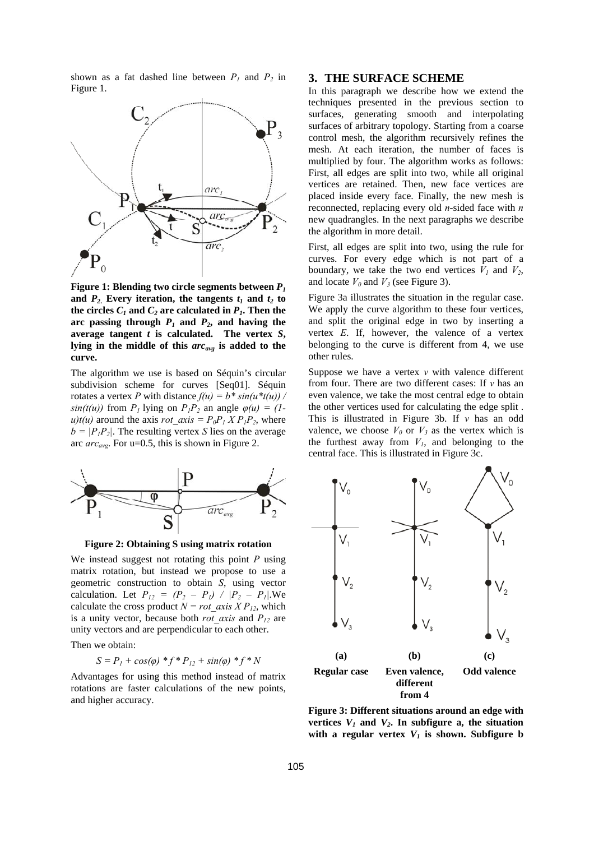shown as a fat dashed line between  $P_1$  and  $P_2$  in Figure 1.



**Figure 1: Blending two circle segments between** *P1* and  $P_2$ . Every iteration, the tangents  $t_1$  and  $t_2$  to the circles  $C_1$  and  $C_2$  are calculated in  $P_1$ . Then the arc passing through  $P_1$  and  $P_2$ , and having the average tangent  $t$  is calculated. The vertex  $S$ , **lying in the middle of this** *arcavg* **is added to the curve.** 

The algorithm we use is based on Séquin's circular subdivision scheme for curves [Seq01]. Séquin rotates a vertex *P* with distance  $f(u) = b * sin(u * t(u))$ *sin(t(u))* from  $P_1$  lying on  $P_1P_2$  an angle  $\varphi(u) = (1-\varphi)(u)$ *u)t(u)* around the axis *rot* axis =  $P_0P_1 X P_1P_2$ , where  $b = |P_1P_2|$ . The resulting vertex *S* lies on the average arc *arcavg*. For u=0.5, this is shown in Figure 2.



**Figure 2: Obtaining S using matrix rotation** 

We instead suggest not rotating this point *P* using matrix rotation, but instead we propose to use a geometric construction to obtain *S*, using vector calculation. Let  $P_{12} = (P_2 - P_1) / [P_2 - P_1]$ . We calculate the cross product  $N = rot$  *axis X P<sub>12</sub>*, which is a unity vector, because both *rot* axis and  $P_{12}$  are unity vectors and are perpendicular to each other.

Then we obtain:

$$
S = P_1 + \cos(\varphi) * f * P_{12} + \sin(\varphi) * f * N
$$

Advantages for using this method instead of matrix rotations are faster calculations of the new points, and higher accuracy.

#### **3. THE SURFACE SCHEME**

In this paragraph we describe how we extend the techniques presented in the previous section to surfaces, generating smooth and interpolating surfaces of arbitrary topology. Starting from a coarse control mesh, the algorithm recursively refines the mesh. At each iteration, the number of faces is multiplied by four. The algorithm works as follows: First, all edges are split into two, while all original vertices are retained. Then, new face vertices are placed inside every face. Finally, the new mesh is reconnected, replacing every old *n*-sided face with *n* new quadrangles. In the next paragraphs we describe the algorithm in more detail.

First, all edges are split into two, using the rule for curves. For every edge which is not part of a boundary, we take the two end vertices  $V_1$  and  $V_2$ , and locate  $V_0$  and  $V_3$  (see Figure 3).

Figure 3a illustrates the situation in the regular case. We apply the curve algorithm to these four vertices, and split the original edge in two by inserting a vertex *E*. If, however, the valence of a vertex belonging to the curve is different from 4, we use other rules.

Suppose we have a vertex  $v$  with valence different from four. There are two different cases: If *v* has an even valence, we take the most central edge to obtain the other vertices used for calculating the edge split . This is illustrated in Figure 3b. If *v* has an odd valence, we choose  $V_0$  or  $V_3$  as the vertex which is the furthest away from  $V_1$ , and belonging to the central face. This is illustrated in Figure 3c.



**Figure 3: Different situations around an edge with**  vertices  $V_1$  and  $V_2$ . In subfigure a, the situation with a regular vertex  $V_1$  is shown. Subfigure b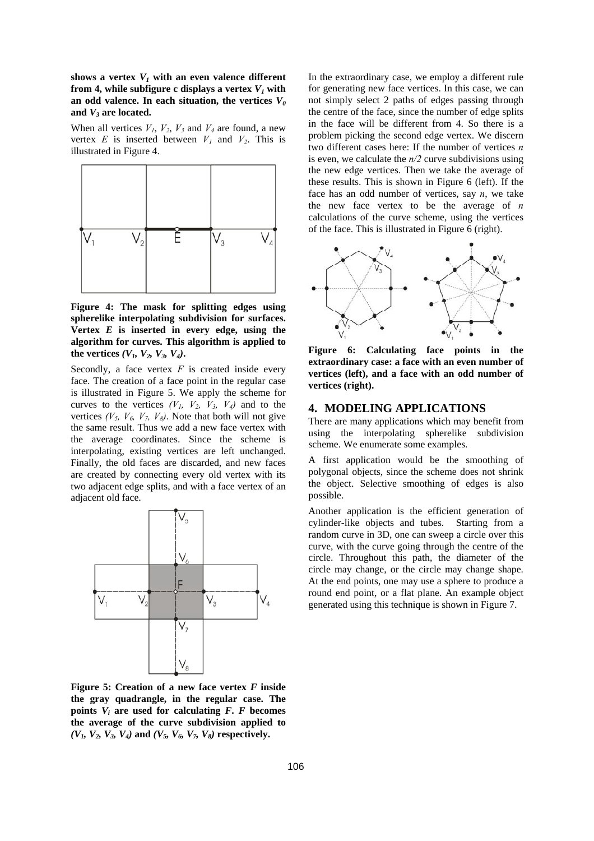shows a vertex  $V_1$  with an even valence different **from 4, while subfigure c displays a vertex**  $V_1$  **with** an odd valence. In each situation, the vertices  $V_0$ **and** *V3* **are located.** 

When all vertices  $V_1$ ,  $V_2$ ,  $V_3$  and  $V_4$  are found, a new vertex  $E$  is inserted between  $V_1$  and  $V_2$ . This is illustrated in Figure 4.



**Figure 4: The mask for splitting edges using spherelike interpolating subdivision for surfaces.**  Vertex  $E$  is inserted in every edge, using the **algorithm for curves. This algorithm is applied to**  the vertices  $(V_1, V_2, V_3, V_4)$ .

Secondly, a face vertex  $F$  is created inside every face. The creation of a face point in the regular case is illustrated in Figure 5. We apply the scheme for curves to the vertices  $(V_1, V_2, V_3, V_4)$  and to the vertices  $(V_5, V_6, V_7, V_8)$ . Note that both will not give the same result. Thus we add a new face vertex with the average coordinates. Since the scheme is interpolating, existing vertices are left unchanged. Finally, the old faces are discarded, and new faces are created by connecting every old vertex with its two adjacent edge splits, and with a face vertex of an adjacent old face.



**Figure 5: Creation of a new face vertex** *F* **inside the gray quadrangle, in the regular case. The points**  $V_i$  are used for calculating  $F$ **.**  $F$  becomes **the average of the curve subdivision applied to**   $(V_1, V_2, V_3, V_4)$  and  $(V_5, V_6, V_7, V_8)$  respectively.

In the extraordinary case, we employ a different rule for generating new face vertices. In this case, we can not simply select 2 paths of edges passing through the centre of the face, since the number of edge splits in the face will be different from 4. So there is a problem picking the second edge vertex. We discern two different cases here: If the number of vertices *n* is even, we calculate the *n/2* curve subdivisions using the new edge vertices. Then we take the average of these results. This is shown in Figure 6 (left). If the face has an odd number of vertices, say *n*, we take the new face vertex to be the average of *n*  calculations of the curve scheme, using the vertices of the face. This is illustrated in Figure 6 (right).



**Figure 6: Calculating face points in the extraordinary case: a face with an even number of vertices (left), and a face with an odd number of vertices (right).** 

#### **4. MODELING APPLICATIONS**

There are many applications which may benefit from using the interpolating spherelike subdivision scheme. We enumerate some examples.

A first application would be the smoothing of polygonal objects, since the scheme does not shrink the object. Selective smoothing of edges is also possible.

Another application is the efficient generation of cylinder-like objects and tubes. Starting from a random curve in 3D, one can sweep a circle over this curve, with the curve going through the centre of the circle. Throughout this path, the diameter of the circle may change, or the circle may change shape. At the end points, one may use a sphere to produce a round end point, or a flat plane. An example object generated using this technique is shown in Figure 7.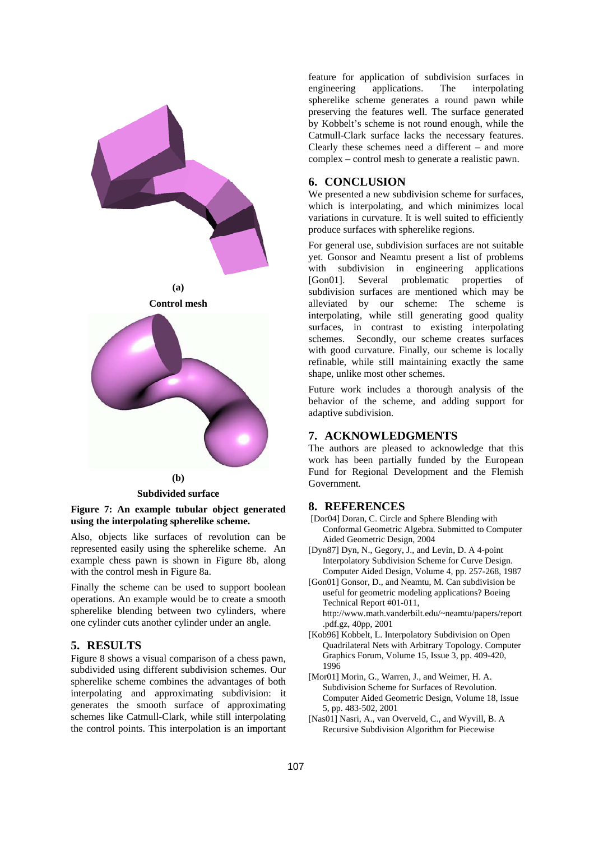

**Subdivided surface** 



Also, objects like surfaces of revolution can be represented easily using the spherelike scheme. An example chess pawn is shown in Figure 8b, along with the control mesh in Figure 8a.

Finally the scheme can be used to support boolean operations. An example would be to create a smooth spherelike blending between two cylinders, where one cylinder cuts another cylinder under an angle.

## **5. RESULTS**

Figure 8 shows a visual comparison of a chess pawn, subdivided using different subdivision schemes. Our spherelike scheme combines the advantages of both interpolating and approximating subdivision: it generates the smooth surface of approximating schemes like Catmull-Clark, while still interpolating the control points. This interpolation is an important

feature for application of subdivision surfaces in engineering applications. The interpolating spherelike scheme generates a round pawn while preserving the features well. The surface generated by Kobbelt's scheme is not round enough, while the Catmull-Clark surface lacks the necessary features. Clearly these schemes need a different – and more complex – control mesh to generate a realistic pawn.

## **6. CONCLUSION**

We presented a new subdivision scheme for surfaces, which is interpolating, and which minimizes local variations in curvature. It is well suited to efficiently produce surfaces with spherelike regions.

For general use, subdivision surfaces are not suitable yet. Gonsor and Neamtu present a list of problems with subdivision in engineering applications [Gon01]. Several problematic properties of subdivision surfaces are mentioned which may be alleviated by our scheme: The scheme is interpolating, while still generating good quality surfaces, in contrast to existing interpolating schemes. Secondly, our scheme creates surfaces with good curvature. Finally, our scheme is locally refinable, while still maintaining exactly the same shape, unlike most other schemes.

Future work includes a thorough analysis of the behavior of the scheme, and adding support for adaptive subdivision.

## **7. ACKNOWLEDGMENTS**

The authors are pleased to acknowledge that this work has been partially funded by the European Fund for Regional Development and the Flemish Government.

# **8. REFERENCES**

- [Dor04] Doran, C. Circle and Sphere Blending with Conformal Geometric Algebra. Submitted to Computer Aided Geometric Design, 2004
- [Dyn87] Dyn, N., Gegory, J., and Levin, D. A 4-point Interpolatory Subdivision Scheme for Curve Design. Computer Aided Design, Volume 4, pp. 257-268, 1987
- [Gon01] Gonsor, D., and Neamtu, M. Can subdivision be useful for geometric modeling applications? Boeing Technical Report #01-011, http://www.math.vanderbilt.edu/~neamtu/papers/report .pdf.gz, 40pp, 2001
- [Kob96] Kobbelt, L. Interpolatory Subdivision on Open Quadrilateral Nets with Arbitrary Topology. Computer Graphics Forum, Volume 15, Issue 3, pp. 409-420, 1996
- [Mor01] Morin, G., Warren, J., and Weimer, H. A. Subdivision Scheme for Surfaces of Revolution. Computer Aided Geometric Design, Volume 18, Issue 5, pp. 483-502, 2001
- [Nas01] Nasri, A., van Overveld, C., and Wyvill, B. A Recursive Subdivision Algorithm for Piecewise